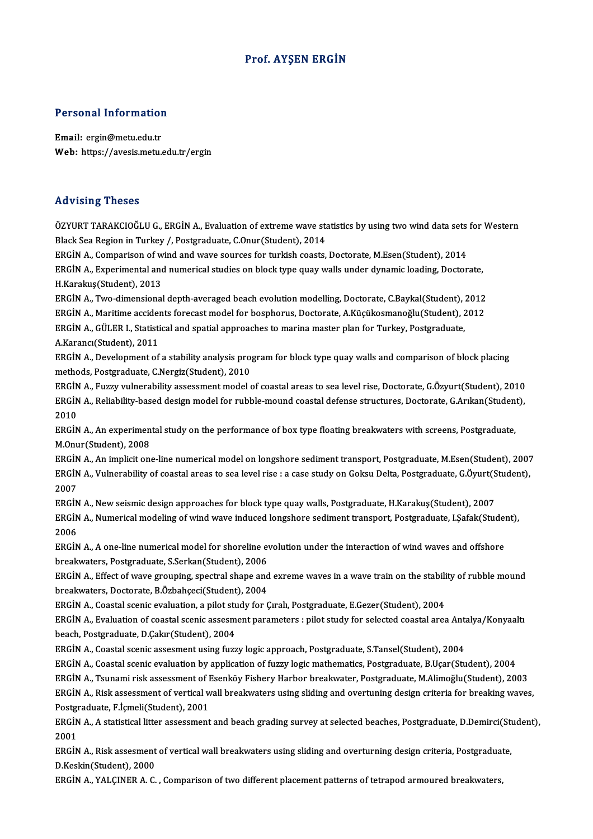#### Prof. AYŞEN ERGİN

# Personal Information

Personal Information<br>Email: ergin@metu.edu.tr<br>Web: https://avesis.mstu Email: ergin@metu.edu.tr<br>Web: https://avesis.metu.edu.tr/ergin

#### Advising Theses

Advising Theses<br>ÖZYURT TARAKCIOĞLU G., ERGİN A., Evaluation of extreme wave statistics by using two wind data sets for Western<br>Plack See Begian in Turkey / Restangduate C.Qnur(Student), 2014 rra viernig i neeses<br>ÖZYURT TARAKCIOĞLU G., ERGİN A., Evaluation of extreme wave sta<br>Black Sea Region in Turkey /, Postgraduate, C.Onur(Student), 2014<br>EPCİN A. Comparison of uind and urus sourses for turkish soasts ÖZYURT TARAKCIOĞLU G., ERGİN A., Evaluation of extreme wave statistics by using two wind data sets<br>Black Sea Region in Turkey /, Postgraduate, C.Onur(Student), 2014<br>ERGİN A., Comparison of wind and wave sources for turkish

Black Sea Region in Turkey /, Postgraduate, C.Onur(Student), 2014<br>ERGİN A., Comparison of wind and wave sources for turkish coasts, Doctorate, M.Esen(Student), 2014<br>ERGİN A., Experimental and numerical studies on block typ ERGİN A., Comparison of w<br>ERGİN A., Experimental and<br>H.Karakuş(Student), 2013<br>EPGİN A. Turo dimonsional ERGİN A., Experimental and numerical studies on block type quay walls under dynamic loading, Doctorate,<br>H.Karakuş(Student), 2013<br>ERGİN A., Two-dimensional depth-averaged beach evolution modelling, Doctorate, C.Baykal(Stude

H.Karakuş(Student), 2013<br>ERGİN A., Two-dimensional depth-averaged beach evolution modelling, Doctorate, C.Baykal(Student), 2012<br>ERGİN A., Maritime accidents forecast model for bosphorus, Doctorate, A.Küçükosmanoğlu(Student ERGİN A., Two-dimensional depth-averaged beach evolution modelling, Doctorate, C.Baykal(Student), 3<br>ERGİN A., Maritime accidents forecast model for bosphorus, Doctorate, A.Küçükosmanoğlu(Student), 2<br>ERGİN A., GÜLER I., Sta ERGİN A., Maritime accidents forecast model for bosphorus, Doctorate, A.Küçükosmanoğlu(Student), 2012<br>ERGİN A., GÜLER I., Statistical and spatial approaches to marina master plan for Turkey, Postgraduate,<br>A.Karancı(Student ERGİN A., GÜLER I., Statistical and spatial approaches to marina master plan for Turkey, Postgraduate,<br>A.Karancı(Student), 2011<br>ERGİN A., Development of a stability analysis program for block type quay walls and comparison

A.Karancı(Student), 2011<br>ERGİN A., Development of a stability analysis pro<br>methods, Postgraduate, C.Nergiz(Student), 2010<br>ERGİN A., Euggy yulperability essessment model 4 ERGİN A., Development of a stability analysis program for block type quay walls and comparison of block placing<br>methods, Postgraduate, C.Nergiz(Student), 2010<br>ERGİN A., Fuzzy vulnerability assessment model of coastal areas

methods, Postgraduate, C.Nergiz(Student), 2010<br>ERGİN A., Fuzzy vulnerability assessment model of coastal areas to sea level rise, Doctorate, G.Özyurt(Student), 2010<br>ERGİN A., Reliability-based design model for rubble-mound ERGIN<br>ERGIN<br>2010<br>ERGIN ERGİN A., Reliability-based design model for rubble-mound coastal defense structures, Doctorate, G.Arıkan(Student),<br>2010<br>ERGİN A., An experimental study on the performance of box type floating breakwaters with screens, Pos

ERGIN A., An experimental study on the performance of box type floating breakwaters with screens, Postgraduate,

ERGİN A., An implicit one-line numerical model on longshore sediment transport, Postgraduate, M.Esen(Student), 2007 M.Onur(Student), 2008<br>ERGİN A., An implicit one-line numerical model on longshore sediment transport, Postgraduate, M.Esen(Student),<br>ERGİN A., Vulnerability of coastal areas to sea level rise : a case study on Goksu Delta, ERGIN<br>ERGIN<br>2007<br>ERCIN ERGİN A., Vulnerability of coastal areas to sea level rise : a case study on Goksu Delta, Postgraduate, G.Öyurt(S<br>2007<br>ERGİN A., New seismic design approaches for block type quay walls, Postgraduate, H.Karakuş(Student), 20

2007<br>ERGİN A., New seismic design approaches for block type quay walls, Postgraduate, H.Karakuş(Student), 2007<br>ERGİN A., Numerical modeling of wind wave induced longshore sediment transport, Postgraduate, I.Şafak(Student), ERGIN<br>ERGIN<br>2006<br>ERCIN ERGİN A., Numerical modeling of wind wave induced longshore sediment transport, Postgraduate, I.Şafak(Stude)<br>2006<br>ERGİN A., A one-line numerical model for shoreline evolution under the interaction of wind waves and offshor

2006<br>ERGİN A., A one-line numerical model for shoreline evolution under the interaction of wind waves and offshore<br>breakwaters, Postgraduate, S.Serkan(Student), 2006 ERGİN A., A one-line numerical model for shoreline evolution under the interaction of wind waves and offshore<br>breakwaters, Postgraduate, S.Serkan(Student), 2006<br>ERGİN A., Effect of wave grouping, spectral shape and exreme

breakwaters, Postgraduate, S.Serkan (Student), 2006<br>ERGİN A., Effect of wave grouping, spectral shape and<br>breakwaters, Doctorate, B.Özbahçeci(Student), 2004<br>ERGİN A. Coastal ssanis avaluation, a nilat study for ( ERGİN A., Effect of wave grouping, spectral shape and exreme waves in a wave train on the stabili<br>breakwaters, Doctorate, B.Özbahçeci(Student), 2004<br>ERGİN A., Coastal scenic evaluation, a pilot study for Çıralı, Postgradua

ERGIN A., Coastal scenic evaluation, a pilot study for Cirali, Postgraduate, E.Gezer(Student), 2004

breakwaters, Doctorate, B.Özbahçeci(Student), 2004<br>ERGİN A., Coastal scenic evaluation, a pilot study for Çıralı, Postgraduate, E.Gezer(Student), 2004<br>ERGİN A., Evaluation of coastal scenic assesment parameters : pilot stu beach, Postgraduate, D.Çakır(Student), 2004<br>ERGİN A., Coastal scenic assesment using fuzzy logic approach, Postgraduate, S.Tansel(Student), 2004<br>ERGİN A., Coastal scenic evaluation by application of fuzzy logic mathematics

ERGİNA.,Coastal scenic assesmentusing fuzzy logic approach,Postgraduate,S.Tansel(Student),2004

ERGİN A., Coastal scenic assesment using fuzzy logic approach, Postgraduate, S.Tansel(Student), 2004<br>ERGİN A., Coastal scenic evaluation by application of fuzzy logic mathematics, Postgraduate, B.Uçar(Student), 2004<br>ERGİN ERGİN A., Coastal scenic evaluation by application of fuzzy logic mathematics, Postgraduate, B.Uçar(Student), 2004<br>ERGİN A., Tsunami risk assessment of Esenköy Fishery Harbor breakwater, Postgraduate, M.Alimoğlu(Student), ERGİN A., Tsunami risk assessment of Esenköy Fishery Harbor breakwater, Postgraduate, M.Alimoğlu(Student), 2003<br>ERGİN A., Risk assessment of vertical wall breakwaters using sliding and overtuning design criteria for breaki ERGİN A., Risk assessment of vertical wall breakwaters using sliding and overtuning design criteria for breaking waves,<br>Postgraduate, F.İçmeli(Student), 2001<br>ERGİN A., A statistical litter assessment and beach grading surv

Postgi<br>ERGIN<br>2001<br>ERCIN ERGİN A., A statistical litter assessment and beach grading survey at selected beaches, Postgraduate, D.Demirci(Sti<br>2001<br>ERGİN A., Risk assesment of vertical wall breakwaters using sliding and overturning design criteria,

2001<br>ERGİN A., Risk assesment<br>D.Keskin(Student), 2000<br>ERGİN A. VALGINER A.G ERGİN A., Risk assesment of vertical wall breakwaters using sliding and overturning design criteria, Postgradua<br>D.Keskin(Student), 2000<br>ERGİN A., YALÇINER A. C. , Comparison of two different placement patterns of tetrapod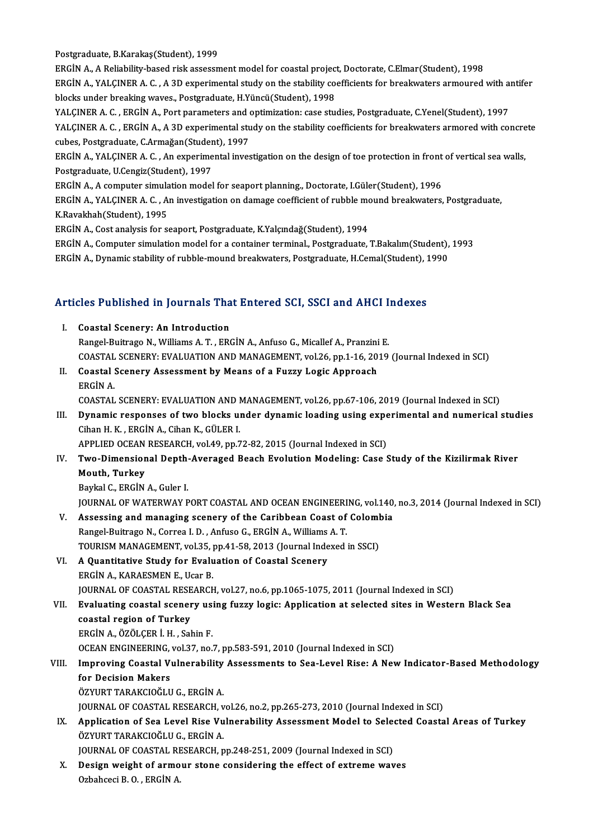Postgraduate, B.Karakaş(Student), 1999

ERGİN A., A Reliability-based risk assessment model for coastal project, Doctorate, C.Elmar(Student), 1998 Postgraduate, B.Karakaş(Student), 1999<br>ERGİN A., A Reliability-based risk assessment model for coastal project, Doctorate, C.Elmar(Student), 1998<br>ERGİN A., YALÇINER A. C. , A 3D experimental study on the stability coeffici ERGİN A., A Reliability-based risk assessment model for coastal projections and the stability correlations and the stability correlations waves., Postgraduate, H.Yüncü(Student), 1998<br>NALCINER A.C., ERCİN A. Bort parametars ERGİN A., YALÇINER A. C. , A 3D experimental study on the stability coefficients for breakwaters armoured with a<br>blocks under breaking waves., Postgraduate, H.Yüncü(Student), 1998<br>YALÇINER A. C. , ERGİN A., Port parameters blocks under breaking waves., Postgraduate, H.Yüncü(Student), 1998<br>YALÇINER A. C. , ERGİN A., Port parameters and optimization: case studies, Postgraduate, C.Yenel(Student), 1997<br>YALÇINER A. C. , ERGİN A., A 3D experimenta YALÇINER A. C., ERGİN A., Port parameters and optimization: case studies, Postgraduate, C.Yenel(Student), 1997

YALÇINER A. C. , ERGİN A., A 3D experimental study on the stability coefficients for breakwaters armored with concre<br>cubes, Postgraduate, C.Armağan(Student), 1997<br>ERGİN A., YALÇINER A. C. , An experimental investigation on

cubes, Postgraduate, C.Armağan(Student), 1997<br>ERGİN A., YALÇINER A. C. , An experimental investigation on the design of toe protection in front<br>Postgraduate, U.Cengiz(Student), 1997<br>ERGİN A., A computer simulation model fo ERGİN A., YALÇINER A. C. , An experimental investigation on the design of toe protection in front<br>Postgraduate, U.Cengiz(Student), 1997<br>ERGİN A., A computer simulation model for seaport planning., Doctorate, I.Güler(Studen

Postgraduate, U.Cengiz(Student), 1997<br>ERGİN A., A computer simulation model for seaport planning., Doctorate, I.Güler(Student), 1996<br>ERGİN A., YALÇINER A. C. , An investigation on damage coefficient of rubble mound breakwa ERGİN A., A computer simula<br>ERGİN A., YALÇINER A. C. , A<br>K.Ravakhah(Student), 1995<br>ERCİN A. Gest ənəliris for sa ERGİN A., YALÇINER A. C. , An investigation on damage coefficient of rubble mo<br>K.Ravakhah(Student), 1995<br>ERGİN A., Cost analysis for seaport, Postgraduate, K.Yalçındağ(Student), 1994<br>ERGİN A., Computer simulation model for K.Ravakhah(Student), 1995<br>ERGİN A., Cost analysis for seaport, Postgraduate, K.Yalçındağ(Student), 1994<br>ERGİN A., Computer simulation model for a container terminal., Postgraduate, T.Bakalım(Student), 1993<br>ERGİN A., Dynami

ERGİN A., Cost analysis for seaport, Postgraduate, K.Yalçındağ(Student), 1994<br>ERGİN A., Computer simulation model for a container terminal., Postgraduate, T.Bakalım(Student),<br>ERGİN A., Dynamic stability of rubble-mound bre

# екым A., Dynamic stability or rubble-mound breakwaters, Postgraduate, H.Cemal(student), I<br>Articles Published in Journals That Entered SCI, SSCI and AHCI Indexes

- **Tricles Published in Journals Tha**<br>I. Coastal Scenery: An Introduction<br>Pangel Puitrage N. Williams A.T., EPO Rangel-Buitrago N., Williams A.T., ERGİN A., Anfuso G., Micallef A., Pranzini E.<br>Rangel-Buitrago N., Williams A.T., ERGİN A., Anfuso G., Micallef A., Pranzini E.<br>COASTAL SCENERY, EVALUATION AND MANACEMENT vol 26 nm 1 16 20 I. Coastal Scenery: An Introduction<br>Rangel-Buitrago N., Williams A. T. , ERGİN A., Anfuso G., Micallef A., Pranzini E.<br>COASTAL SCENERY: EVALUATION AND MANAGEMENT, vol.26, pp.1-16, 2019 (Journal Indexed in SCI) Rangel-Buitrago N., Williams A. T. , ERGİN A., Anfuso G., Micallef A., Pranzini<br>COASTAL SCENERY: EVALUATION AND MANAGEMENT, vol.26, pp.1-16, 20<br>II. Coastal Scenery Assessment by Means of a Fuzzy Logic Approach<br>ERCİN A
- II. Coastal Scenery Assessment by Means of a Fuzzy Logic Approach<br>ERGİNA. COASTAL SCENERY:EVALUATIONANDMANAGEMENT,vol.26,pp.67-106,2019 (Journal Indexed inSCI)

ERGİN A.<br>COASTAL SCENERY: EVALUATION AND MANAGEMENT, vol.26, pp.67-106, 2019 (Journal Indexed in SCI)<br>III. Dynamic responses of two blocks under dynamic loading using experimental and numerical studies<br>Giban H. K., ERGİN A Cihan H. K. , ERGİN A., Cihan K., GÜLER I.<br>APPLIED OCEAN RESEARCH, vol.49, pp.72-82, 2015 (Journal Indexed in SCI) Dynamic responses of two blocks under dynamic loading using experient Cihan H. K. , ERGİN A., Cihan K., GÜLER I.<br>APPLIED OCEAN RESEARCH, vol.49, pp.72-82, 2015 (Journal Indexed in SCI)<br>Two Dimensional Donth Avenaged Boach

# Cihan H. K. , ERGİN A., Cihan K., GÜLER I.<br>APPLIED OCEAN RESEARCH, vol.49, pp.72-82, 2015 (Journal Indexed in SCI)<br>IV. Two-Dimensional Depth-Averaged Beach Evolution Modeling: Case Study of the Kizilirmak River<br>Mouth T Two-Dimensional Depth-<br>Mouth, Turkey<br>Baykal C., ERGİN A., Guler I.<br>JOUPNAL OE WATERWAY B

Mouth, Turkey<br>Baykal C., ERGIN A., Guler I. Mouth, Turkey<br>Baykal C., ERGİN A., Guler I.<br>JOURNAL OF WATERWAY PORT COASTAL AND OCEAN ENGINEERING, vol.140, no.3, 2014 (Journal Indexed in SCI)<br>Assessing and managing assensyy of the Caribbean Ceast of Celambia

- V. Assessing and managing scenery of the Caribbean Coast of Colombia<br>Rangel-Buitrago N., Correa I. D., Anfuso G., ERGIN A., Williams A. T. JOURNAL OF WATERWAY PORT COASTAL AND OCEAN ENGINEERI<br>Assessing and managing scenery of the Caribbean Coast of<br>Rangel-Buitrago N., Correa I.D., Anfuso G., ERGİN A., Williams A.T.<br>TOUDISM MANACEMENT vol 25. np.41.59.2012 (Ja Assessing and managing scenery of the Caribbean Coast of Colom<br>Rangel-Buitrago N., Correa I. D. , Anfuso G., ERGIN A., Williams A. T.<br>TOURISM MANAGEMENT, vol.35, pp.41-58, 2013 (Journal Indexed in SSCI)<br>A Quantitative Stud
- VI. A Quantitative Study for Evaluation of Coastal Scenery<br>ERGIN A.. KARAESMEN E.. Ucar B. TOURISM MANAGEMENT, vol.35, <sub>]</sub><br>A Quantitative Study for Evalu<br>ERGİN A., KARAESMEN E., Ucar B.<br>JOUPNAL OF COASTAL PESEARCE JOURNAL OF COASTAL RESEARCH, vol.27, no.6, pp.1065-1075, 2011 (Journal Indexed in SCI) ERGIN A., KARAESMEN E., Ucar B.<br>JOURNAL OF COASTAL RESEARCH, vol.27, no.6, pp.1065-1075, 2011 (Journal Indexed in SCI)<br>VII. Evaluating coastal scenery using fuzzy logic: Application at selected sites in Western Black S

**JOURNAL OF COASTAL RESE<br>Evaluating coastal scener<br>coastal region of Turkey**<br>EPC<sup>iNA</sup> Ö<sup>7ÖLCER</sub> i HASA</sup> Evaluating coastal scenery usi<br>coastal region of Turkey<br>ERGİN A., ÖZÖLÇER İ. H. , Sahin F.<br>OCEAN ENCINEEPINC, vol 37. no. coastal region of Turkey<br>ERGİN A., ÖZÖLÇER İ. H. , Sahin F.<br>OCEAN ENGINEERING, vol.37, no.7, pp.583-591, 2010 (Journal Indexed in SCI)<br>Improving Coastal Vulperability Assessments to Sea Lavel Bise: A Nex

## ERGİN A., ÖZÖLÇER İ. H. , Sahin F.<br>OCEAN ENGINEERING, vol.37, no.7, pp.583-591, 2010 (Journal Indexed in SCI)<br>VIII. Improving Coastal Vulnerability Assessments to Sea-Level Rise: A New Indicator-Based Methodology<br>for Decis OCEAN ENGINEERING,<br>Improving Coastal V<br>for Decision Makers<br>ÖZVUPT TARAKCIOČI U

ÖZYURT TARAKCIOĞLU G., ERGİN A.

JOURNAL OF COASTAL RESEARCH, vol.26, no.2, pp.265-273, 2010 (Journal Indexed in SCI)

ÖZYURT TARAKCIOĞLU G., ERGİN A.<br>JOURNAL OF COASTAL RESEARCH, vol.26, no.2, pp.265-273, 2010 (Journal Indexed in SCI)<br>IX. Application of Sea Level Rise Vulnerability Assessment Model to Selected Coastal Areas of Turkey<br> JOURNAL OF COASTAL RESEARCH, v<br>Application of Sea Level Rise Vu<br>ÖZYURT TARAKCIOĞLU G., ERGİN A.<br>JOUPNAL OF COASTAL PESEARCH p Application of Sea Level Rise Vulnerability Assessment Model to Sele<br>ÖZYURT TARAKCIOĞLU G., ERGİN A.<br>JOURNAL OF COASTAL RESEARCH, pp.248-251, 2009 (Journal Indexed in SCI)<br>Design weight of armeur stans sonsidering the effe

ÖZYURT TARAKCIOĞLU G., ERGİN A.<br>JOURNAL OF COASTAL RESEARCH, pp.248-251, 2009 (Journal Indexed in SCI)<br>X. Design weight of armour stone considering the effect of extreme waves<br>Ozbahceci B. O. , ERGİN A. JOURNAL OF COASTAL RE<br><mark>Design weight of armo</mark><br>Ozbahceci B. O. , ERGİN A.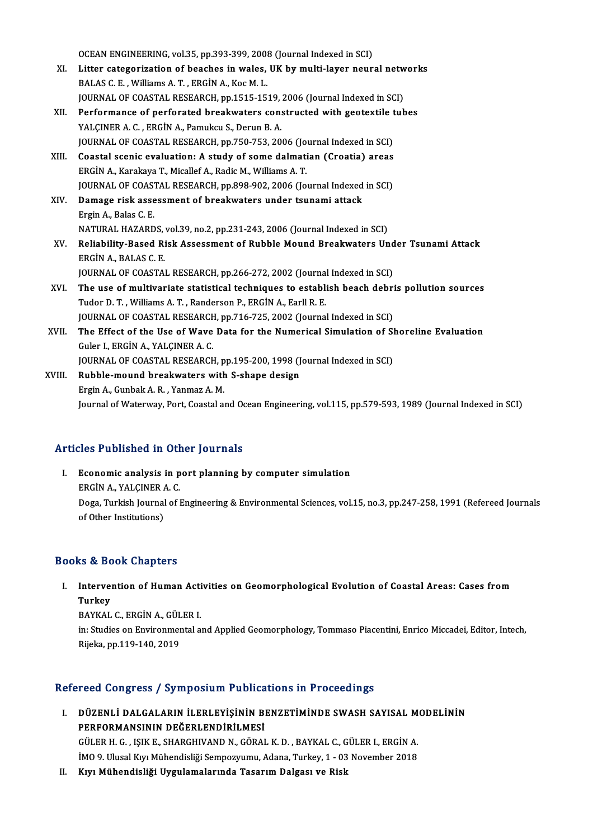OCEAN ENGINEERING, vol.35, pp.393-399, 2008 (Journal Indexed in SCI)<br>I itter estegenination of beeghes in welce, UK by multi lever noun

- OCEAN ENGINEERING, vol.35, pp.393-399, 2008 (Journal Indexed in SCI)<br>XI. Litter categorization of beaches in wales, UK by multi-layer neural networks OCEAN ENGINEERING, vol.35, pp.393-399, 2001<br>Litter categorization of beaches in wales,<br>BALAS C. E. , Williams A. T. , ERGİN A., Koc M. L.<br>JOUPNAL OF COASTAL PESEARCH pp.1515-15 Litter categorization of beaches in wales, UK by multi-layer neural netw<br>BALAS C. E. , Williams A. T. , ERGİN A., Koc M. L.<br>JOURNAL OF COASTAL RESEARCH, pp.1515-1519, 2006 (Journal Indexed in SCI)<br>Performange of perforated BALAS C. E. , Williams A. T. , ERGİN A., Koc M. L.<br>JOURNAL OF COASTAL RESEARCH, pp.1515-1519, 2006 (Journal Indexed in SCI)<br>XII. Performance of perforated breakwaters constructed with geotextile tubes<br>VALGINER A. G. ERGİN
- JOURNAL OF COASTAL RESEARCH, pp.1515-1519, 2006 (Journal Indexed in SCI)<br>Performance of perforated breakwaters constructed with geotextile tul<br>YALÇINER A. C., ERGİN A., Pamukcu S., Derun B. A. Performance of perforated breakwaters constructed with geotextile t<br>YALÇINER A. C. , ERGİN A., Pamukcu S., Derun B. A.<br>JOURNAL OF COASTAL RESEARCH, pp.750-753, 2006 (Journal Indexed in SCI)<br>Coastal scanis evaluation: A stu YALÇINER A. C., ERGİN A., Pamukcu S., Derun B. A.<br>JOURNAL OF COASTAL RESEARCH, pp.750-753, 2006 (Journal Indexed in SCI)<br>XIII. Coastal scenic evaluation: A study of some dalmatian (Croatia) areas<br>ERCİN A. Karakaya T. Misal
- FOURNAL OF COASTAL RESEARCH, pp.750-753, 2006 (Jo<br>Coastal scenic evaluation: A study of some dalmati<br>ERGİN A., Karakaya T., Micallef A., Radic M., Williams A. T.<br>JOURNAL OF COASTAL RESEARCH pp.808, 902, 2006 (Jo XIII. Coastal scenic evaluation: A study of some dalmatian (Croatia) areas<br>ERGIN A., Karakaya T., Micallef A., Radic M., Williams A. T.<br>JOURNAL OF COASTAL RESEARCH, pp.898-902, 2006 (Journal Indexed in SCI) ERGİN A., Karakaya T., Micallef A., Radic M., Williams A. T.<br>JOURNAL OF COASTAL RESEARCH, pp.898-902, 2006 (Journal Indexed<br>XIV. Damage risk assessment of breakwaters under tsunami attack<br>Frgin A. Balse G. E
- **JOURNAL OF COAS<br>Damage risk asse<br>Ergin A., Balas C. E.<br>NATUPAL HAZARD** Damage risk assessment of breakwaters under tsunami attack<br>Ergin A., Balas C. E.<br>NATURAL HAZARDS, vol.39, no.2, pp.231-243, 2006 (Journal Indexed in SCI)<br>Poliability Pasad Bisk Assessment of Pubble Mound Preskwaters Un
- Ergin A., Balas C. E.<br>NATURAL HAZARDS, vol.39, no.2, pp.231-243, 2006 (Journal Indexed in SCI)<br>XV. Reliability-Based Risk Assessment of Rubble Mound Breakwaters Under Tsunami Attack<br>ERC<sup>IN A.</sup> BALAS C. E NATURAL HAZARDS,<br>Reliability-Based Ri<br>ERGİN A., BALAS C. E.<br>IQUPNAL OF COASTA Reliability-Based Risk Assessment of Rubble Mound Breakwaters Und<br>ERGİN A., BALAS C. E.<br>JOURNAL OF COASTAL RESEARCH, pp.266-272, 2002 (Journal Indexed in SCI)<br>The use of multivariate statistical techniques to establish boa
- ERGIN A., BALAS C. E.<br>JOURNAL OF COASTAL RESEARCH, pp.266-272, 2002 (Journal Indexed in SCI)<br>XVI. The use of multivariate statistical techniques to establish beach debris pollution sources<br>Tuder D. T. Williams A. T. Bander JOURNAL OF COASTAL RESEARCH, pp.266-272, 2002 (Journal<br>The use of multivariate statistical techniques to establi<br>Tudor D. T. , Williams A. T. , Randerson P., ERGİN A., Earll R. E.<br>JOURNAL OF COASTAL RESEARCH pp.716, 725, 2 The use of multivariate statistical techniques to establish beach debri<br>Tudor D. T. , Williams A. T. , Randerson P., ERGİN A., Earll R. E.<br>JOURNAL OF COASTAL RESEARCH, pp.716-725, 2002 (Journal Indexed in SCI)<br>The Effect o Tudor D. T. , Williams A. T. , Randerson P., ERGİN A., Earll R. E.<br>JOURNAL OF COASTAL RESEARCH, pp.716-725, 2002 (Journal Indexed in SCI)<br>XVII. The Effect of the Use of Wave Data for the Numerical Simulation of Shoreline E
- JOURNAL OF COASTAL RESEARCH, pp.716-725, 2002 (Journal Indexed in SCI)<br>The Effect of the Use of Wave Data for the Numerical Simulation of S.<br>Guler I., ERGİN A., YALÇINER A. C.<br>JOURNAL OF COASTAL RESEARCH, pp.195-200, 1998 The Effect of the Use of Wave Data for the Numerical Simulation of SI<br>Guler I., ERGİN A., YALÇINER A. C.<br>JOURNAL OF COASTAL RESEARCH, pp.195-200, 1998 (Journal Indexed in SCI)<br>Pubble mound broakwaters with S. shane dosisn Guler I., ERGIN A., YALÇINER A. C.<br>JOURNAL OF COASTAL RESEARCH, pp.195-200, 1998 (J<br>XVIII. Rubble-mound breakwaters with S-shape design<br>Exgin A. Gunbak A. B. Yanmaz A. M.
- JOURNAL OF COASTAL RESEARCH, p<br>Rubble-mound breakwaters with<br>Ergin A., Gunbak A. R. , Yanmaz A. M.<br>Journal of Waterway, Bort, Coastal at Ergin A., Gunbak A. R. , Yanmaz A. M.<br>Journal of Waterway, Port, Coastal and Ocean Engineering, vol.115, pp.579-593, 1989 (Journal Indexed in SCI)

#### Articles Published in Other Journals

rticles Published in Other Journals<br>I. Economic analysis in port planning by computer simulation<br>ERCIN A YALCINER A C Economic analysis in p<br>ERGİN A., YALÇINER A. C.<br>Doga Turkish Journal of L Doga, Turkish Journal of Engineering & Environmental Sciences, vol.15, no.3, pp.247-258, 1991 (Refereed Journals of Other Institutions) ERGIN A, YALCINER A C.

#### Books&Book Chapters

ooks & Book Chapters<br>I. Intervention of Human Activities on Geomorphological Evolution of Coastal Areas: Cases from<br>Turkey Interver<br>Interver<br>PAVKAL Intervention of Human Acti<br>Turkey<br>BAYKAL C., ERGİN A., GÜLER I.<br>in: Studies en Envirenmental e

Turkey<br>BAYKAL C., ERGİN A., GÜLER I.<br>in: Studies on Environmental and Applied Geomorphology, Tommaso Piacentini, Enrico Miccadei, Editor, Intech,<br>Rijeka, pp.119-140, 2019 BAYKAL C., ERGİN A., GÜLER I.

#### Refereed Congress / Symposium Publications in Proceedings

efereed Congress / Symposium Publications in Proceedings<br>I. DÜZENLİ DALGALARIN İLERLEYİŞİNİN BENZETİMİNDE SWASH SAYISAL MODELİNİN<br>REREORMANSININ DEĞERI ENDIRLI MESİ PERFORMANSININ DEĞERLENDİRİLMESİ DÜZENLI DALGALARIN İLERLEYIŞININ BENZETIMINDE SWASH SAYISAL M<br>PERFORMANSININ DEĞERLENDIRILMESI<br>GÜLER H. G. , IŞIK E., SHARGHIVAND N., GÖRAL K. D. , BAYKAL C., GÜLER I., ERGİN A.<br>IMO 9. Ulusal Kur Mühardialiği Samnayınının PERFORMANSININ DEĞERLENDİRİLMESİ<br>GÜLER H. G. , IŞIK E., SHARGHIVAND N., GÖRAL K. D. , BAYKAL C., GÜLER I., ERGİN A.<br>İMO 9. Ulusal Kıyı Mühendisliği Sempozyumu, Adana, Turkey, 1 - 03 November 2018<br>Kuy Mühandisliği Uygulamal GÜLER H. G. , IŞIK E., SHARGHIVAND N., GÖRAL K. D. , BAYKAL C., G<br>İMO 9. Ulusal Kıyı Mühendisliği Sempozyumu, Adana, Turkey, 1 - 03<br>II. Kıyı Mühendisliği Uygulamalarında Tasarım Dalgası ve Risk